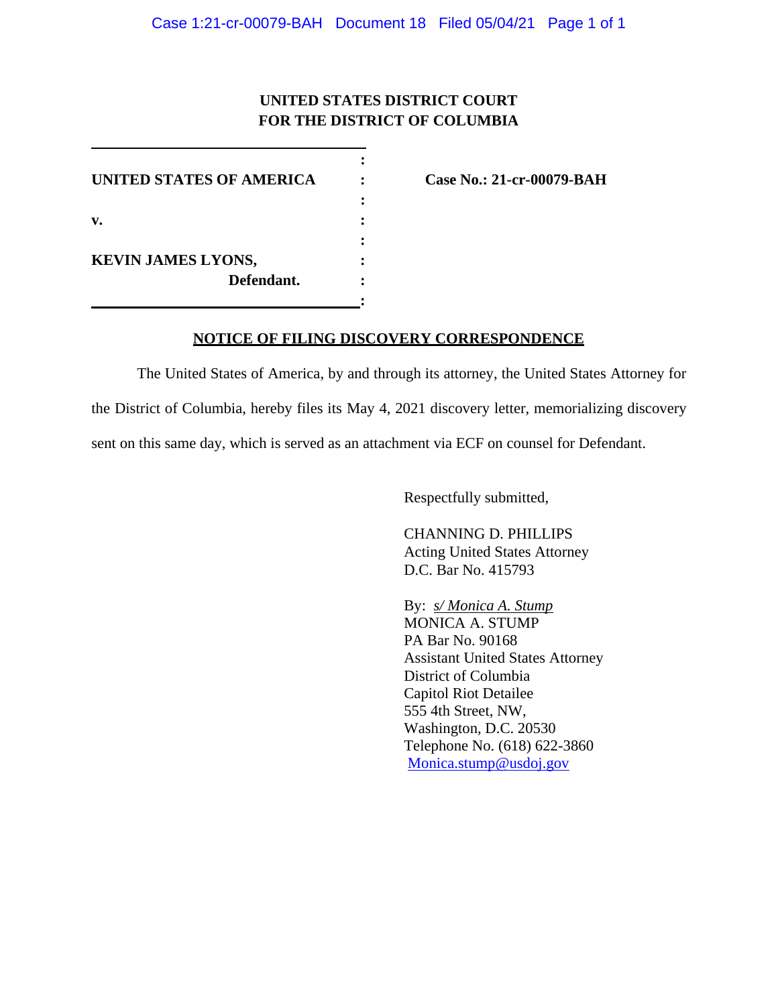## **UNITED STATES DISTRICT COURT FOR THE DISTRICT OF COLUMBIA**

**:**

**UNITED STATES OF AMERICA : Case No.: 21-cr-00079-BAH : v. : : KEVIN JAMES LYONS, : Defendant. : :**

## **NOTICE OF FILING DISCOVERY CORRESPONDENCE**

The United States of America, by and through its attorney, the United States Attorney for the District of Columbia, hereby files its May 4, 2021 discovery letter, memorializing discovery sent on this same day, which is served as an attachment via ECF on counsel for Defendant.

Respectfully submitted,

CHANNING D. PHILLIPS Acting United States Attorney D.C. Bar No. 415793

By: *s/ Monica A. Stump* MONICA A. STUMP PA Bar No. 90168 Assistant United States Attorney District of Columbia Capitol Riot Detailee 555 4th Street, NW, Washington, D.C. 20530 Telephone No. (618) 622-3860 Monica.stump@usdoj.gov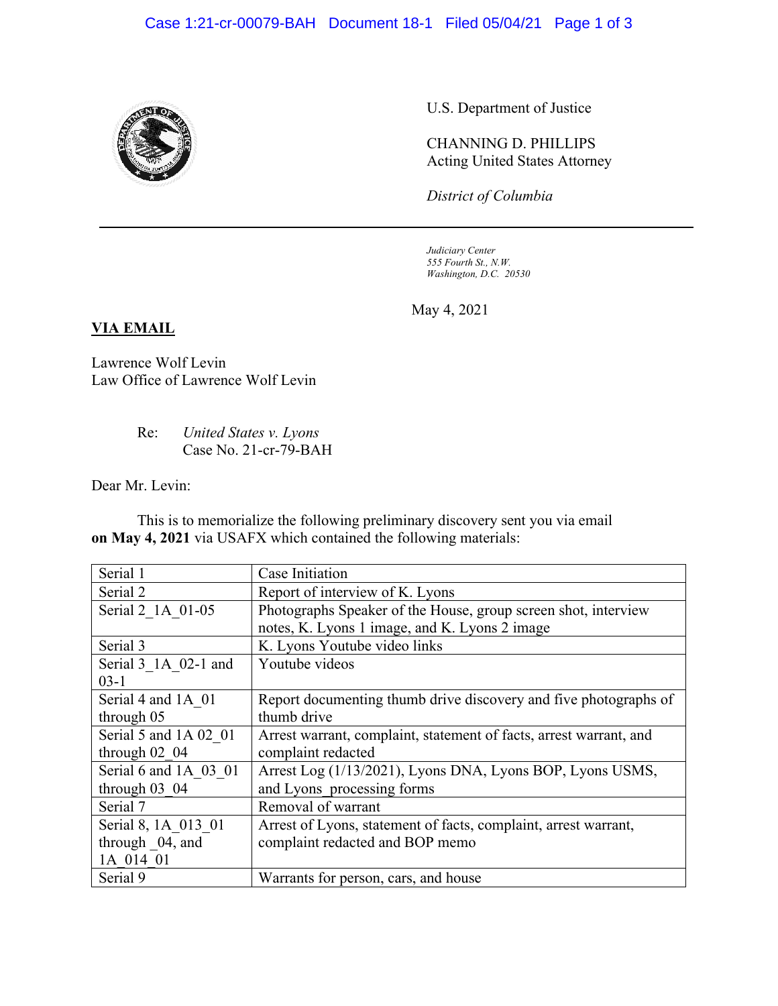

U.S. Department of Justice

CHANNING D. PHILLIPS Acting United States Attorney

*District of Columbia*

*Judiciary Center 555 Fourth St., N.W. Washington, D.C. 20530*

May 4, 2021

## **VIA EMAIL**

Lawrence Wolf Levin Law Office of Lawrence Wolf Levin

> Re: *United States v. Lyons* Case No. 21-cr-79-BAH

Dear Mr. Levin:

This is to memorialize the following preliminary discovery sent you via email **on May 4, 2021** via USAFX which contained the following materials:

| Serial 1              | Case Initiation                                                    |
|-----------------------|--------------------------------------------------------------------|
| Serial 2              | Report of interview of K. Lyons                                    |
| Serial 2 1A 01-05     | Photographs Speaker of the House, group screen shot, interview     |
|                       | notes, K. Lyons 1 image, and K. Lyons 2 image                      |
| Serial 3              | K. Lyons Youtube video links                                       |
| Serial 3 1A 02-1 and  | Youtube videos                                                     |
| $03-1$                |                                                                    |
| Serial 4 and 1A 01    | Report documenting thumb drive discovery and five photographs of   |
| through 05            | thumb drive                                                        |
| Serial 5 and 1A 02 01 | Arrest warrant, complaint, statement of facts, arrest warrant, and |
| through $02$ 04       | complaint redacted                                                 |
| Serial 6 and 1A 03 01 | Arrest Log (1/13/2021), Lyons DNA, Lyons BOP, Lyons USMS,          |
| through $03$ 04       | and Lyons processing forms                                         |
| Serial 7              | Removal of warrant                                                 |
| Serial 8, 1A 013 01   | Arrest of Lyons, statement of facts, complaint, arrest warrant,    |
| through 04, and       | complaint redacted and BOP memo                                    |
| 1A 014 01             |                                                                    |
| Serial 9              | Warrants for person, cars, and house                               |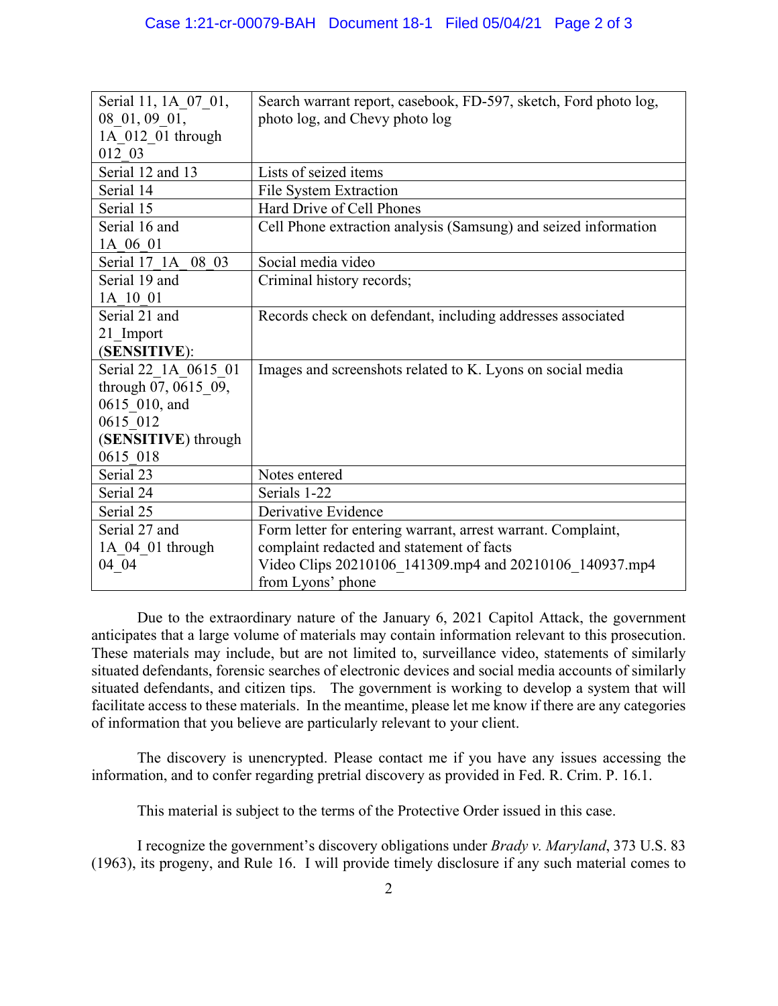| Serial 11, 1A_07_01, | Search warrant report, casebook, FD-597, sketch, Ford photo log, |
|----------------------|------------------------------------------------------------------|
| 08 01, 09 01,        | photo log, and Chevy photo log                                   |
| 1A 012 01 through    |                                                                  |
| 012 03               |                                                                  |
| Serial 12 and 13     | Lists of seized items                                            |
| Serial 14            | File System Extraction                                           |
| Serial 15            | Hard Drive of Cell Phones                                        |
| Serial 16 and        | Cell Phone extraction analysis (Samsung) and seized information  |
| 1A 06 01             |                                                                  |
| Serial 17 1A 08 03   | Social media video                                               |
| Serial 19 and        | Criminal history records;                                        |
| 1A 10 01             |                                                                  |
| Serial 21 and        | Records check on defendant, including addresses associated       |
| 21 Import            |                                                                  |
| (SENSITIVE):         |                                                                  |
| Serial 22 1A 0615 01 | Images and screenshots related to K. Lyons on social media       |
| through 07, 0615 09, |                                                                  |
| 0615 010, and        |                                                                  |
| 0615 012             |                                                                  |
| (SENSITIVE) through  |                                                                  |
| 0615 018             |                                                                  |
| Serial 23            | Notes entered                                                    |
| Serial 24            | Serials 1-22                                                     |
| Serial 25            | Derivative Evidence                                              |
| Serial 27 and        | Form letter for entering warrant, arrest warrant. Complaint,     |
| $1A_04_01$ through   | complaint redacted and statement of facts                        |
| 04 04                | Video Clips 20210106 141309.mp4 and 20210106 140937.mp4          |
|                      | from Lyons' phone                                                |

Due to the extraordinary nature of the January 6, 2021 Capitol Attack, the government anticipates that a large volume of materials may contain information relevant to this prosecution. These materials may include, but are not limited to, surveillance video, statements of similarly situated defendants, forensic searches of electronic devices and social media accounts of similarly situated defendants, and citizen tips. The government is working to develop a system that will facilitate access to these materials. In the meantime, please let me know if there are any categories of information that you believe are particularly relevant to your client.

The discovery is unencrypted. Please contact me if you have any issues accessing the information, and to confer regarding pretrial discovery as provided in Fed. R. Crim. P. 16.1.

This material is subject to the terms of the Protective Order issued in this case.

I recognize the government's discovery obligations under *Brady v. Maryland*, 373 U.S. 83 (1963), its progeny, and Rule 16. I will provide timely disclosure if any such material comes to